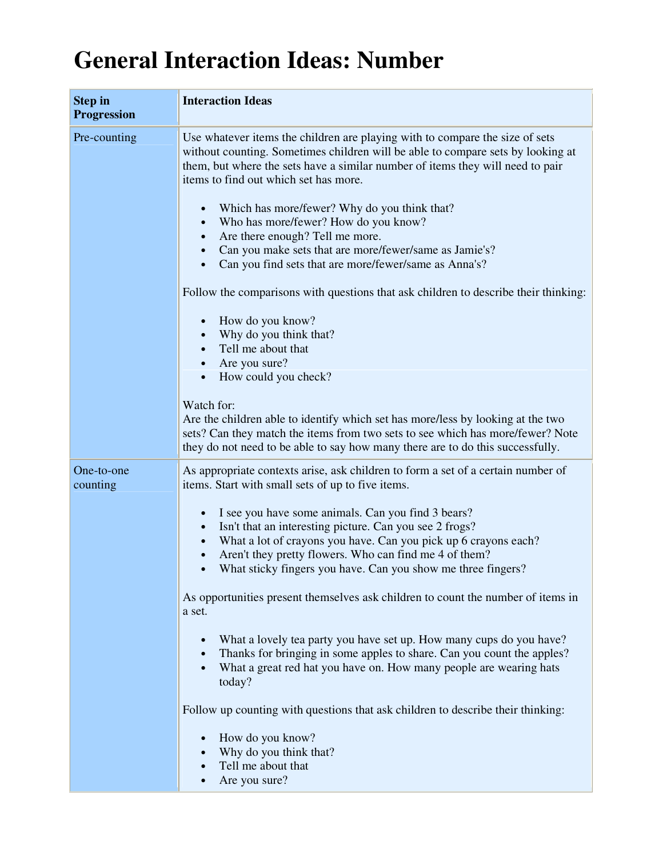## **General Interaction Ideas: Number**

| <b>Step in</b><br><b>Progression</b> | <b>Interaction Ideas</b>                                                                                                                                                                                                                                                                                                                                |
|--------------------------------------|---------------------------------------------------------------------------------------------------------------------------------------------------------------------------------------------------------------------------------------------------------------------------------------------------------------------------------------------------------|
| Pre-counting                         | Use whatever items the children are playing with to compare the size of sets<br>without counting. Sometimes children will be able to compare sets by looking at<br>them, but where the sets have a similar number of items they will need to pair<br>items to find out which set has more.<br>Which has more/fewer? Why do you think that?<br>$\bullet$ |
|                                      | Who has more/fewer? How do you know?<br>Are there enough? Tell me more.<br>Can you make sets that are more/fewer/same as Jamie's?<br>Can you find sets that are more/fewer/same as Anna's?                                                                                                                                                              |
|                                      | Follow the comparisons with questions that ask children to describe their thinking:                                                                                                                                                                                                                                                                     |
|                                      | How do you know?<br>Why do you think that?<br>Tell me about that<br>Are you sure?<br>$\bullet$                                                                                                                                                                                                                                                          |
|                                      | How could you check?<br>$\bullet$                                                                                                                                                                                                                                                                                                                       |
|                                      | Watch for:<br>Are the children able to identify which set has more/less by looking at the two<br>sets? Can they match the items from two sets to see which has more/fewer? Note<br>they do not need to be able to say how many there are to do this successfully.                                                                                       |
| One-to-one<br>counting               | As appropriate contexts arise, ask children to form a set of a certain number of<br>items. Start with small sets of up to five items.                                                                                                                                                                                                                   |
|                                      | I see you have some animals. Can you find 3 bears?<br>Isn't that an interesting picture. Can you see 2 frogs?<br>$\bullet$<br>What a lot of crayons you have. Can you pick up 6 crayons each?<br>Aren't they pretty flowers. Who can find me 4 of them?<br>What sticky fingers you have. Can you show me three fingers?                                 |
|                                      | As opportunities present themselves ask children to count the number of items in<br>a set.                                                                                                                                                                                                                                                              |
|                                      | What a lovely tea party you have set up. How many cups do you have?<br>Thanks for bringing in some apples to share. Can you count the apples?<br>$\bullet$<br>What a great red hat you have on. How many people are wearing hats<br>today?                                                                                                              |
|                                      | Follow up counting with questions that ask children to describe their thinking:                                                                                                                                                                                                                                                                         |
|                                      | How do you know?<br>Why do you think that?<br>Tell me about that<br>Are you sure?                                                                                                                                                                                                                                                                       |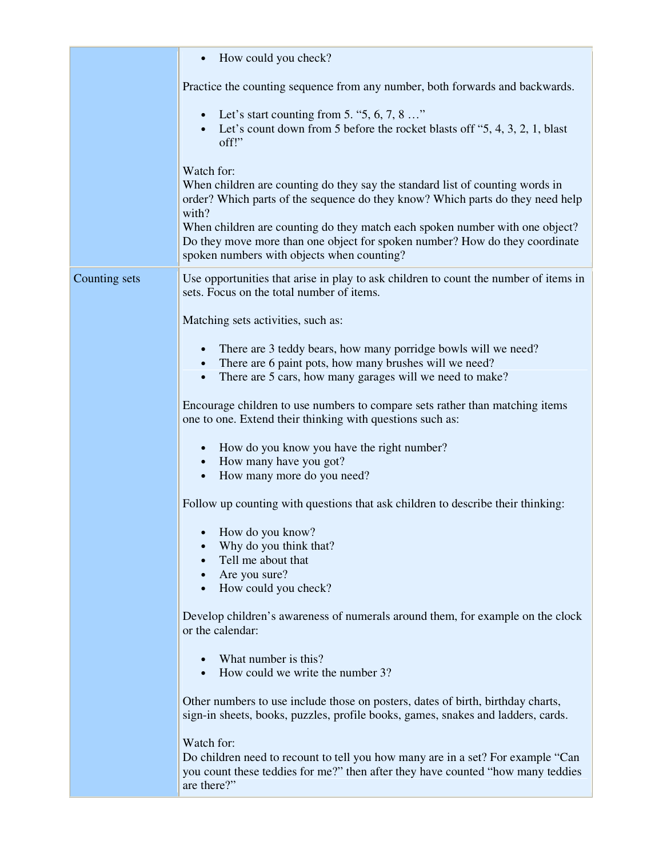|               | How could you check?                                                                                                                                                                                                                                                                                                                                                                                |
|---------------|-----------------------------------------------------------------------------------------------------------------------------------------------------------------------------------------------------------------------------------------------------------------------------------------------------------------------------------------------------------------------------------------------------|
|               | Practice the counting sequence from any number, both forwards and backwards.                                                                                                                                                                                                                                                                                                                        |
|               | • Let's start counting from 5. "5, 6, 7, 8 "<br>Let's count down from 5 before the rocket blasts off "5, 4, 3, 2, 1, blast<br>off!"                                                                                                                                                                                                                                                                 |
|               | Watch for:<br>When children are counting do they say the standard list of counting words in<br>order? Which parts of the sequence do they know? Which parts do they need help<br>with?<br>When children are counting do they match each spoken number with one object?<br>Do they move more than one object for spoken number? How do they coordinate<br>spoken numbers with objects when counting? |
| Counting sets | Use opportunities that arise in play to ask children to count the number of items in<br>sets. Focus on the total number of items.                                                                                                                                                                                                                                                                   |
|               | Matching sets activities, such as:                                                                                                                                                                                                                                                                                                                                                                  |
|               | There are 3 teddy bears, how many porridge bowls will we need?<br>$\bullet$<br>There are 6 paint pots, how many brushes will we need?<br>There are 5 cars, how many garages will we need to make?                                                                                                                                                                                                   |
|               | Encourage children to use numbers to compare sets rather than matching items<br>one to one. Extend their thinking with questions such as:                                                                                                                                                                                                                                                           |
|               | How do you know you have the right number?<br>• How many have you got?<br>How many more do you need?<br>$\bullet$                                                                                                                                                                                                                                                                                   |
|               | Follow up counting with questions that ask children to describe their thinking:                                                                                                                                                                                                                                                                                                                     |
|               | How do you know?<br>Why do you think that?<br>Tell me about that<br>Are you sure?<br>$\bullet$<br>How could you check?<br>$\bullet$                                                                                                                                                                                                                                                                 |
|               | Develop children's awareness of numerals around them, for example on the clock<br>or the calendar:                                                                                                                                                                                                                                                                                                  |
|               | What number is this?<br>How could we write the number 3?                                                                                                                                                                                                                                                                                                                                            |
|               | Other numbers to use include those on posters, dates of birth, birthday charts,<br>sign-in sheets, books, puzzles, profile books, games, snakes and ladders, cards.                                                                                                                                                                                                                                 |
|               | Watch for:<br>Do children need to recount to tell you how many are in a set? For example "Can<br>you count these teddies for me?" then after they have counted "how many teddies<br>are there?"                                                                                                                                                                                                     |